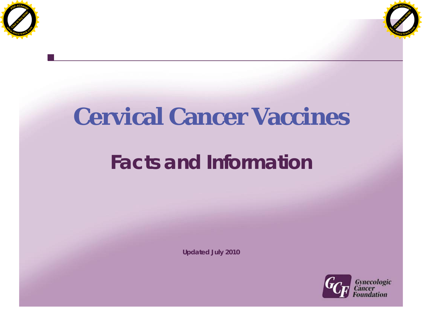



# **Cervical Cancer Vaccines**

# **Facts and Information**

**Updated July 2010**

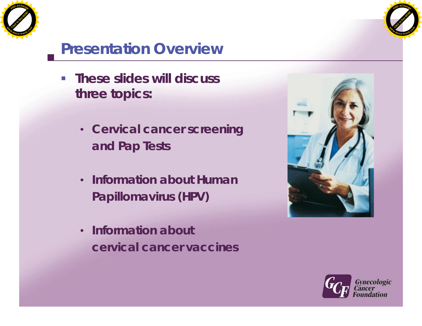



# **Presentation Overview**

- **These slides will discuss three topics:**
	- **Cervical cancer screening and Pap Tests**
	- **Information about Human Papillomavirus (HPV)**
	- **Information about cervical cancer vaccines**



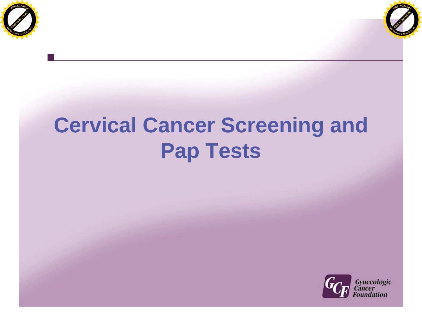



# **Cervical Cancer Screening and Pap Tests**

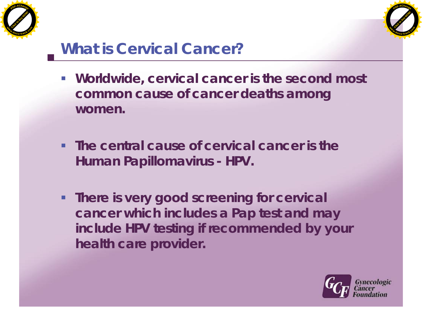



#### **What is Cervical Cancer?**

- **Worldwide, cervical cancer is the second most common cause of cancer deaths among women.**
- **The central cause of cervical cancer is the Human Papillomavirus - HPV.**
- **There is very good screening for cervical cancer which includes a Pap test and may include HPV testing if recommended by your health care provider.**

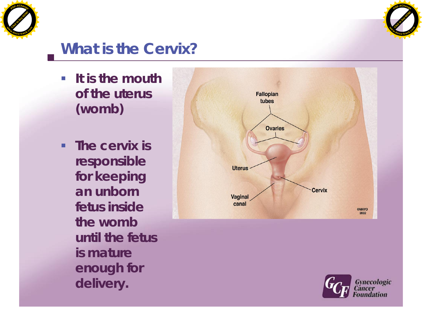



#### **What is the Cervix?**

- **It is the mouth of the uterus (womb)**
- **The cervix is responsible for keeping an unborn fetus inside the womb until the fetus is mature enough for delivery.**



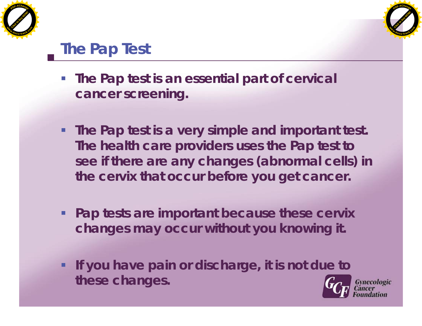



**Gynecologic** 

# **The Pap Test**

- **The Pap test is an essential part of cervical cancer screening.**
- **The Pap test is a very simple and important test. The health care providers uses the Pap test to see if there are any changes (abnormal cells) in the cervix that occur before you get cancer.**
- **Pap tests are important because these cervix changes may occur without you knowing it.**
- **If you have pain or discharge, it is not due to these changes.**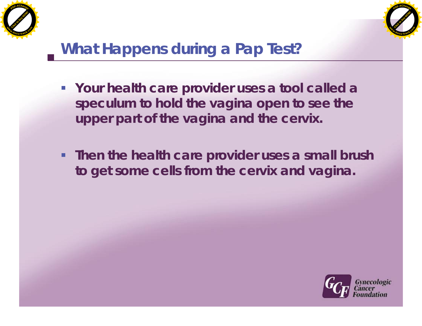



# **What Happens during a Pap Test?**

- **Your health care provider uses a tool called a speculum to hold the vagina open to see the upper part of the vagina and the cervix.**
- **Then the health care provider uses a small brush to get some cells from the cervix and vagina.**

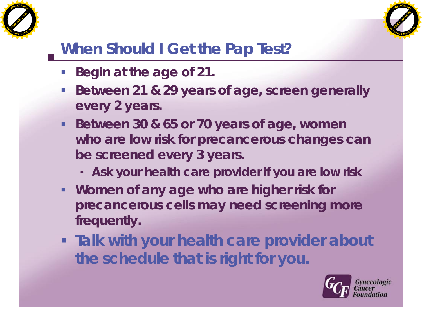



### **When Should I Get the Pap Test?**

- **Begin at the age of 21.**
- **Between 21 & 29 years of age, screen generally every 2 years.**
- **Between 30 & 65 or 70 years of age, women who are low risk for precancerous changes can be screened every 3 years.**
	- **Ask your health care provider if you are low risk**
- **Women of any age who are higher risk for precancerous cells may need screening more frequently.**
- **Talk with your health care provider about the schedule that is right for you.**

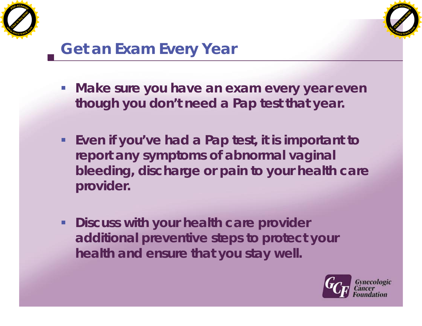



# **Get an Exam Every Year**

- **Make sure you have an exam every year even though you don't need a Pap test that year.**
- **Even if you've had a Pap test, it is important to report any symptoms of abnormal vaginal bleeding, discharge or pain to your health care provider.**
- **Discuss with your health care provider additional preventive steps to protect your health and ensure that you stay well.**

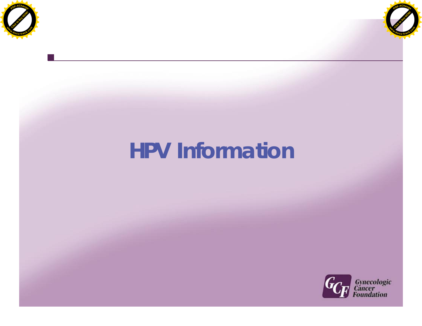



# **HPV Information**

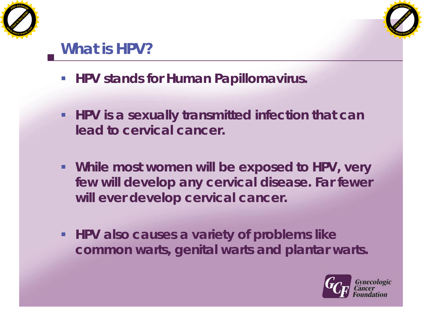



# **What is HPV?**

- **HPV stands for Human Papillomavirus.**
- **HPV** is a sexually transmitted infection that can **lead to cervical cancer.**
- **While most women will be exposed to HPV, very few will develop any cervical disease. Far fewer will ever develop cervical cancer.**
- **HPV also causes a variety of problems like common warts, genital warts and plantar warts.**

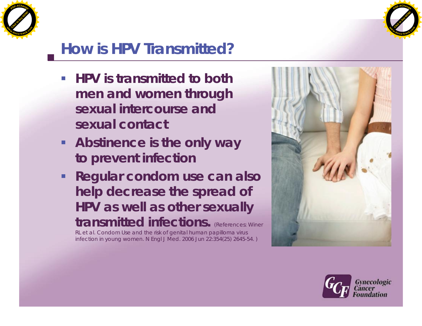



# **How is HPV Transmitted?**

- **HPV** is transmitted to both **men and women through sexual intercourse and sexual contact**
- **Abstinence is the only way to prevent infection**
- **Regular condom use can also help decrease the spread of HPV as well as other sexually** transmitted infections. (References: Winer

RL et al. Condom Use and the risk of genital human papilloma virus infection in young women. N Engl J Med. 2006 Jun 22:354(25) 2645-54. )



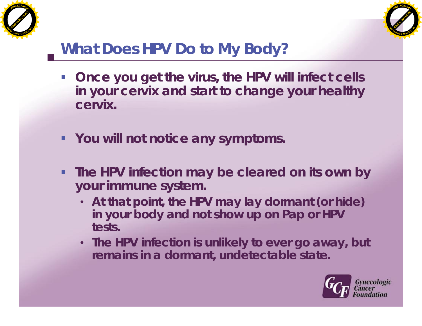



# **What Does HPV Do to My Body?**

- **Once you get the virus, the HPV will infect cells in your cervix and start to change your healthy cervix.**
- **You will not notice any symptoms.**
- **The HPV infection may be cleared on its own by your immune system.**
	- **At that point, the HPV may lay dormant (or hide) in your body and not show up on Pap or HPV tests.**
	- **The HPV infection is unlikely to ever go away, but remains in a dormant, undetectable state.**

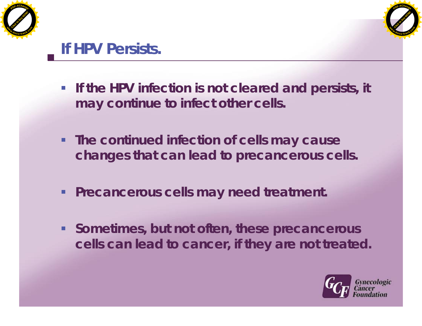



#### **If HPV Persists.**

- **If the HPV infection is not cleared and persists, it may continue to infect other cells.**
- **The continued infection of cells may cause changes that can lead to precancerous cells.**
- **Precancerous cells may need treatment.**
- **Sometimes, but not often, these precancerous cells can lead to cancer, if they are not treated.**

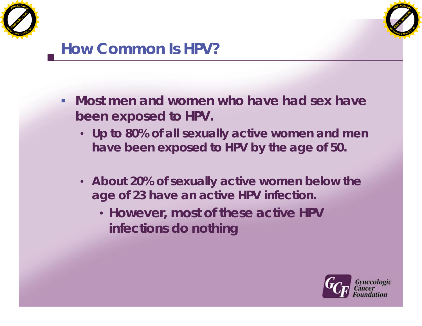



#### **How Common Is HPV?**

- **Most men and women who have had sex have been exposed to HPV.**
	- **Up to 80% of all sexually active women and men have been exposed to HPV by the age of 50.**
	- **About 20% of sexually active women below the age of 23 have an active HPV infection.**
		- **However, most of these active HPV infections do nothing**

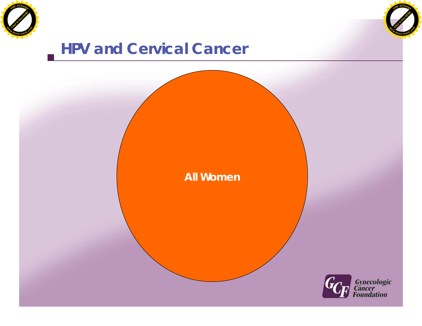



**All Women**

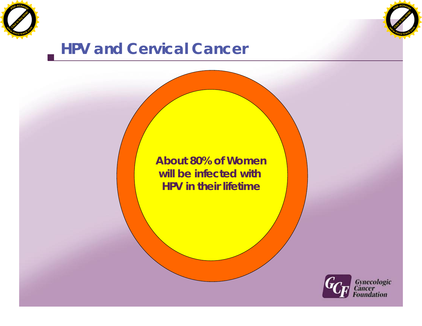



**About 80% of Women will be infected with HPV in their lifetime**

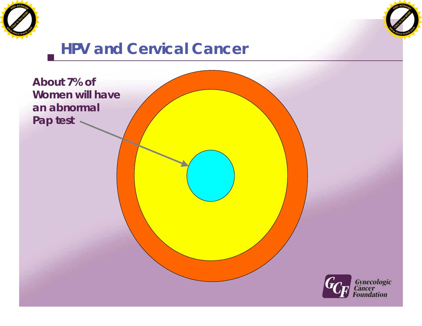



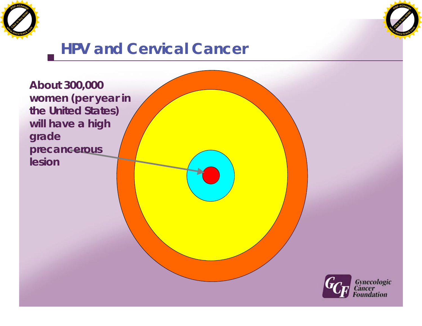



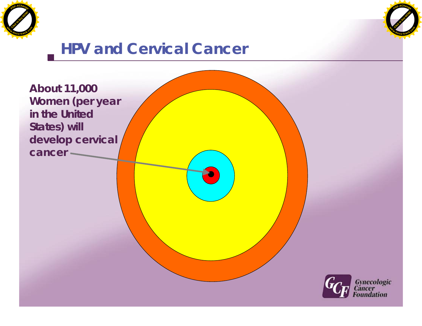



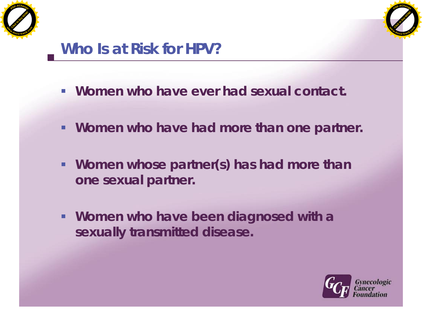



#### **Who Is at Risk for HPV?**

- **Women who have ever had sexual contact.**
- **Women who have had more than one partner.**
- **Women whose partner(s) has had more than one sexual partner.**
- **Women who have been diagnosed with a sexually transmitted disease.**

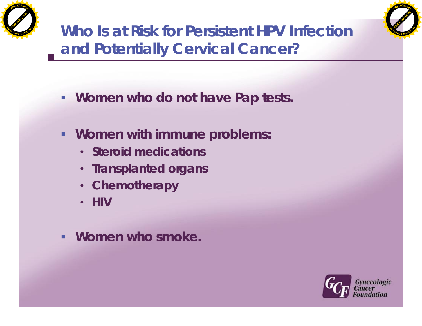



**Who Is at Risk for Persistent HPV Infection and Potentially Cervical Cancer?**

- **Women who do not have Pap tests.**
- **Women with immune problems:**
	- **Steroid medications**
	- **Transplanted organs**
	- **Chemotherapy**
	- **HIV**
- **Women who smoke.**

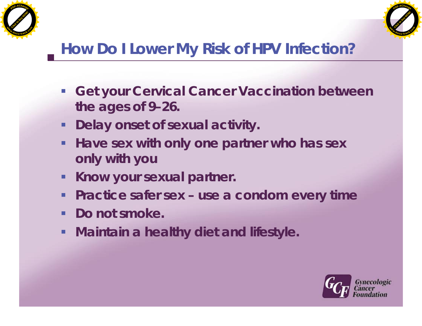



# **How Do I Lower My Risk of HPV Infection?**

- **Get your Cervical Cancer Vaccination between the ages of 9–26.**
- **-** Delay onset of sexual activity.
- **Have sex with only one partner who has sex only with you**
- **Know your sexual partner.**
- **Practice safer sex use a condom every time**
- **Do not smoke.**
- **Maintain a healthy diet and lifestyle.**

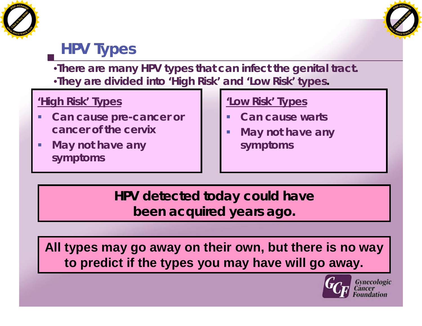



# **HPV Types**

•**There are many HPV types that can infect the genital tract.** •**They are divided into 'High Risk' and 'Low Risk' types.**

#### **'High Risk' Types**

- **Can cause pre-cancer or cancer of the cervix**
- **May not have any symptoms**

#### **'Low Risk' Types**

- **Can cause warts**
- **May not have any symptoms**

**HPV detected today could have been acquired years ago.**

**All types may go away on their own, but there is no way to predict if the types you may have will go away.**



Gynecologic<br>Cancer ndation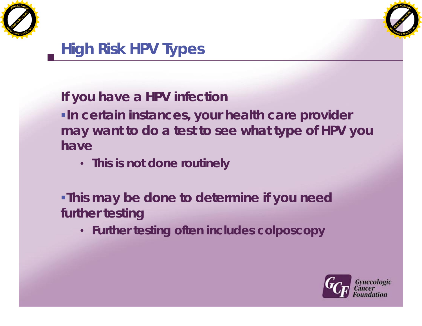



# **High Risk HPV Types**

**If you have a HPV infection**

**In certain instances, your health care provider may want to do a test to see what type of HPV you have**

• **This is not done routinely**

**This may be done to determine if you need further testing**

• **Further testing often includes colposcopy**

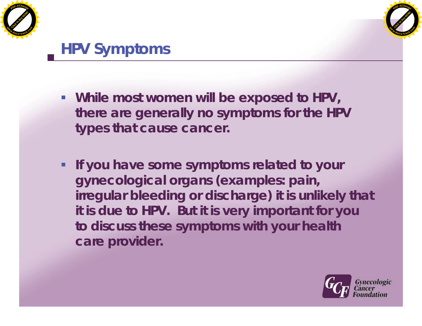



#### **HPV Symptoms**

- **While most women will be exposed to HPV, there are generally no symptoms for the HPV types that cause cancer.**
- **If you have some symptoms related to your gynecological organs (examples: pain, irregular bleeding or discharge) it is unlikely that it is due to HPV. But it is very important for you to discuss these symptoms with your health care provider.**

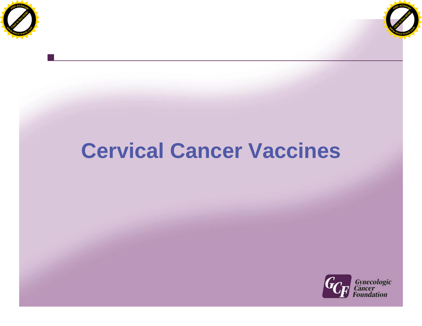



# **Cervical Cancer Vaccines**

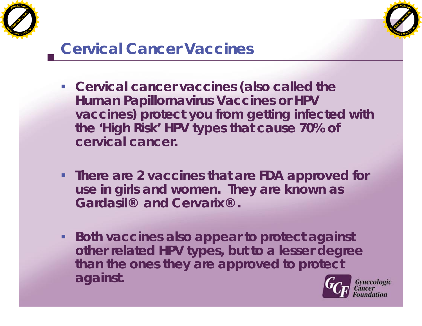



#### **Cervical Cancer Vaccines**

- **Cervical cancer vaccines (also called the Human Papillomavirus Vaccines or HPV vaccines) protect you from getting infected with the 'High Risk' HPV types that cause 70% of cervical cancer.**
- **There are 2 vaccines that are FDA approved for use in girls and women. They are known as Gardasil® and Cervarix® .**
- **Both vaccines also appear to protect against other related HPV types, but to a lesser degree than the ones they are approved to protect against.**

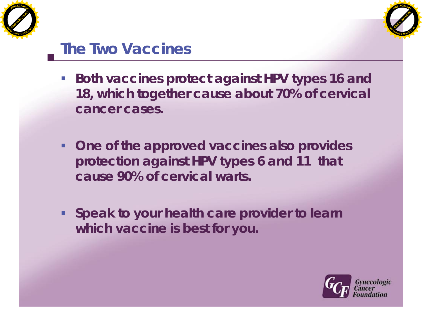



#### **The Two Vaccines**

- Both vaccines protect against HPV types 16 and **18, which together cause about 70% of cervical cancer cases.**
- **One of the approved vaccines also provides protection against HPV types 6 and 11 that cause 90% of cervical warts.**
- **Speak to your health care provider to learn which vaccine is best for you.**

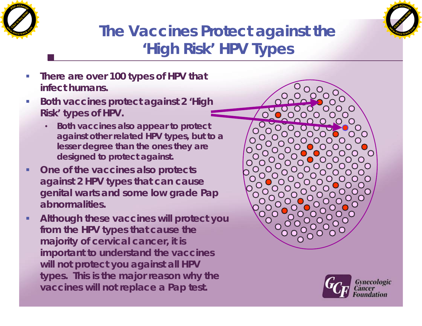



# **The Vaccines Protect against the 'High Risk' HPV Types**

- **There are over 100 types of HPV that infect humans.**
- **Both vaccines protect against 2 'High Risk' types of HPV.**
	- **Both vaccines also appear to protect against other related HPV types, but to a lesser degree than the ones they are designed to protect against.**
- **One of the vaccines also protects against 2 HPV types that can cause genital warts and some low grade Pap abnormalities.**
- **Although these vaccines will protect you from the HPV types that cause the majority of cervical cancer, it is important to understand the vaccines will not protect you against all HPV types. This is the major reason why the vaccines will not replace a Pap test.**



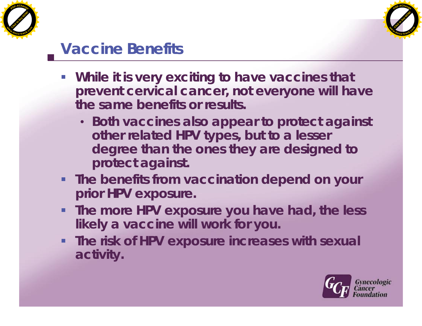



#### **Vaccine Benefits**

- **While it is very exciting to have vaccines that prevent cervical cancer, not everyone will have the same benefits or results.**
	- **Both vaccines also appear to protect against other related HPV types, but to a lesser degree than the ones they are designed to protect against.**
- **The benefits from vaccination depend on your prior HPV exposure.**
- **The more HPV exposure you have had, the less likely a vaccine will work for you.**
- **The risk of HPV exposure increases with sexual activity.**

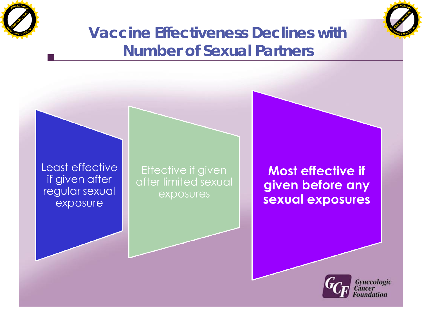



#### **Vaccine Effectiveness Declines with Number of Sexual Partners**



Effective if given after limited sexual exposures

**Most effective if** given before any sexual exposures

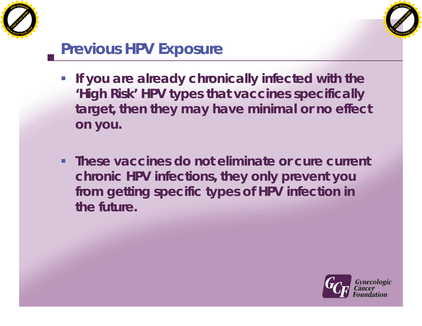



### **Previous HPV Exposure**

- **If you are already chronically infected with the 'High Risk' HPV types that vaccines specifically target, then they may have minimal or no effect on you.**
- **These vaccines do not eliminate or cure current chronic HPV infections, they only prevent you from getting specific types of HPV infection in the future.**

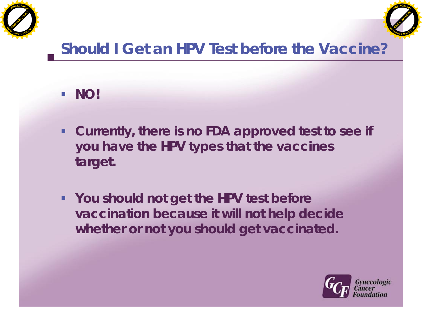



# **Should I Get an HPV Test before the Vaccine?**

- **NO!**
- **Currently, there is no FDA approved test to see if you have the HPV types that the vaccines target.**
- **You should not get the HPV test before vaccination because it will not help decide whether or not you should get vaccinated.**

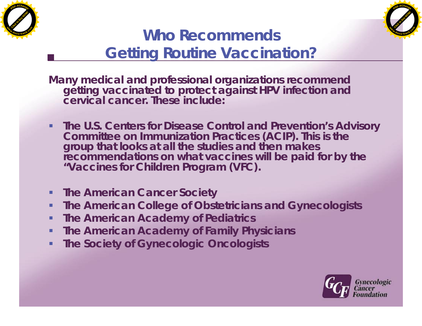



#### **Who Recommends Getting Routine Vaccination?**

**Many medical and professional organizations recommend getting vaccinated to protect against HPV infection and cervical cancer. These include:**

- **The U.S. Centers for Disease Control and Prevention's Advisory Committee on Immunization Practices (ACIP). This is the group that looks at all the studies and then makes recommendations on what vaccines will be paid for by the "Vaccines for Children Program (VFC).**
- **Fig. 4 The American Cancer Society**
- **The American College of Obstetricians and Gynecologists**
- **The American Academy of Pediatrics**
- **The American Academy of Family Physicians**
- **The Society of Gynecologic Oncologists**

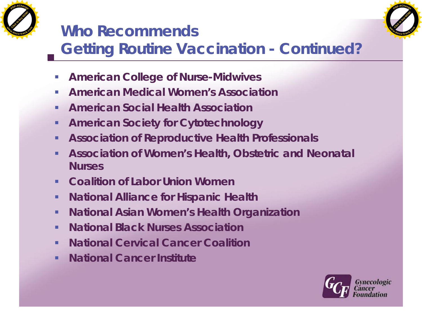

# **Who Recommends**



# **Getting Routine Vaccination - Continued?**

- **American College of Nurse-Midwives**
- **American Medical Women's Association**
- **American Social Health Association**
- **American Society for Cytotechnology**
- **Association of Reproductive Health Professionals**
- **Association of Women's Health, Obstetric and Neonatal Nurses**
- **Coalition of Labor Union Women**
- **National Alliance for Hispanic Health**
- **National Asian Women's Health Organization**
- **National Black Nurses Association**
- **National Cervical Cancer Coalition**
- **National Cancer Institute**

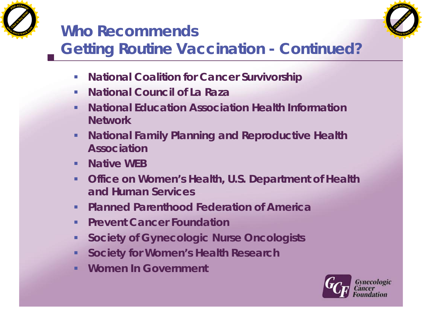

## **Who Recommends**



# **Getting Routine Vaccination - Continued?**

- **National Coalition for Cancer Survivorship**
- **National Council of La Raza**
- **National Education Association Health Information Network**
- **National Family Planning and Reproductive Health Association**
- **Native WFB**
- **Office on Women's Health, U.S. Department of Health and Human Services**
- **Planned Parenthood Federation of America**
- **Prevent Cancer Foundation**
- **Society of Gynecologic Nurse Oncologists**
- **Society for Women's Health Research**
- **Women In Government**

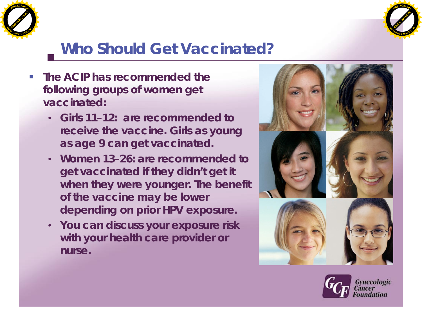



### **Who Should Get Vaccinated?**

- **The ACIP has recommended the following groups of women get vaccinated:**
	- **Girls 11–12: are recommended to receive the vaccine. Girls as young as age 9 can get vaccinated.**
	- **Women 13–26: are recommended to get vaccinated if they didn't get it when they were younger. The benefit of the vaccine may be lower depending on prior HPV exposure.**
	- **You can discuss your exposure risk with your health care provider or nurse.**



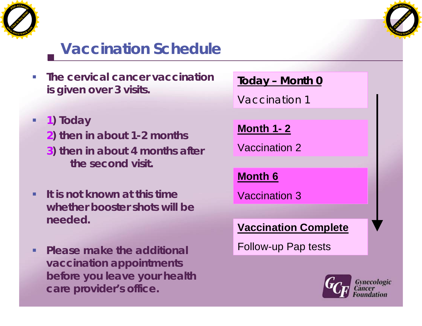



## **Vaccination Schedule**

- **The cervical cancer vaccination is given over 3 visits.**
- **1) Today**
	- **2) then in about 1-2 months**
	- **3) then in about 4 months after the second visit.**
- **It is not known at this time whether booster shots will be needed.**
- **Please make the additional vaccination appointments before you leave your health care provider's office.**

**Today – Month 0**

Vaccination 1

#### **Month 1- 2**

Vaccination 2

**Month 6**

Vaccination 3

**Vaccination Complete**

Follow-up Pap tests

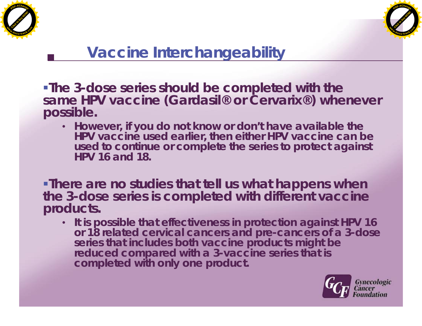



#### **Vaccine Interchangeability**

**The 3-dose series should be completed with the same HPV vaccine (Gardasil® or Cervarix®) whenever possible.**

• **However, if you do not know or don't have available the HPV vaccine used earlier, then either HPV vaccine can be used to continue or complete the series to protect against HPV 16 and 18.**

**There are no studies that tell us what happens when the 3-dose series is completed with different vaccine products.**

• **It is possible that effectiveness in protection against HPV 16 or 18 related cervical cancers and pre-cancers of a 3-dose series that includes both vaccine products might be reduced compared with a 3-vaccine series that is completed with only one product.**

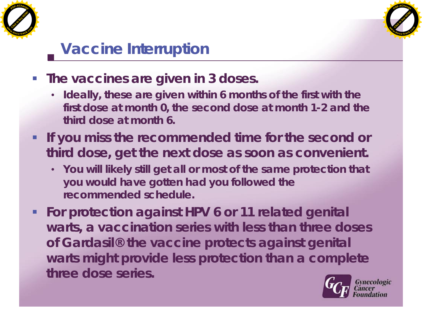



### **Vaccine Interruption**

- **The vaccines are given in 3 doses.**
	- **Ideally, these are given within 6 months of the first with the first dose at month 0, the second dose at month 1-2 and the third dose at month 6.**
- **If you miss the recommended time for the second or third dose, get the next dose as soon as convenient.**
	- **You will likely still get all or most of the same protection that you would have gotten had you followed the recommended schedule.**
- **For protection against HPV 6 or 11 related genital warts, a vaccination series with less than three doses of Gardasil® the vaccine protects against genital warts might provide less protection than a complete three dose series.**

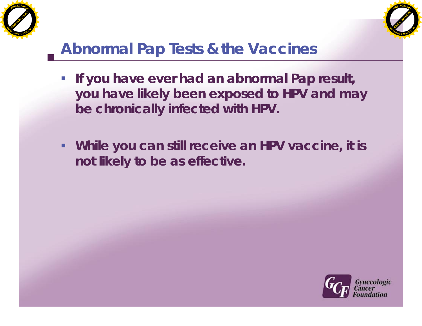



# **Abnormal Pap Tests & the Vaccines**

- **If you have ever had an abnormal Pap result, you have likely been exposed to HPV and may be chronically infected with HPV.**
- **While you can still receive an HPV vaccine, it is not likely to be as effective.**

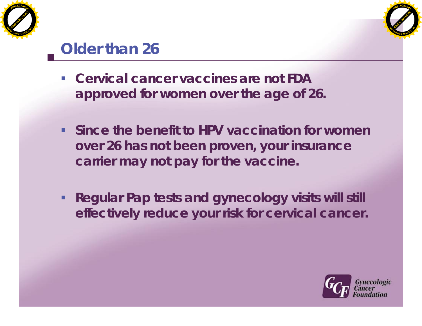



### **Older than 26**

- **Cervical cancer vaccines are not FDA approved for women over the age of 26.**
- **Since the benefit to HPV vaccination for women over 26 has not been proven, your insurance carrier may not pay for the vaccine.**
- **Regular Pap tests and gynecology visits will still effectively reduce your risk for cervical cancer.**

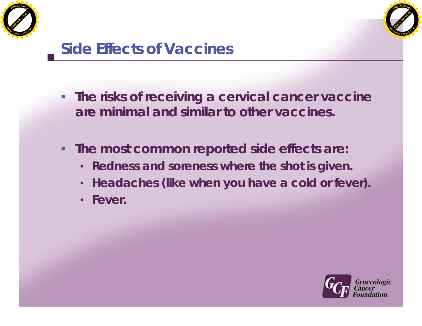



#### **Side Effects of Vaccines**

- **The risks of receiving a cervical cancer vaccine are minimal and similar to other vaccines.**
- **The most common reported side effects are:**
	- **Redness and soreness where the shot is given.**
	- **Headaches (like when you have a cold or fever).**
	- **Fever.**

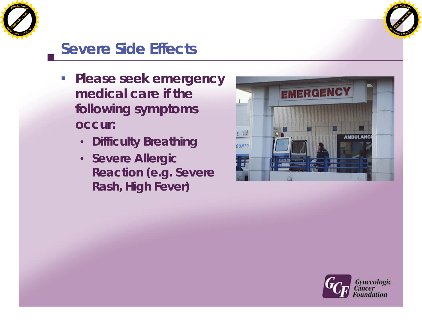



#### **Severe Side Effects**

- **Please seek emergency medical care if the following symptoms occur:**
	- **Difficulty Breathing**
	- **Severe Allergic Reaction (e.g. Severe Rash, High Fever)**



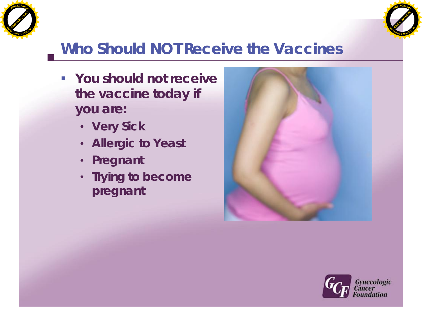



### **Who Should NOT Receive the Vaccines**

- **You should not receive the vaccine today if you are:**
	- **Very Sick**
	- **Allergic to Yeast**
	- **Pregnant**
	- **Trying to become pregnant**



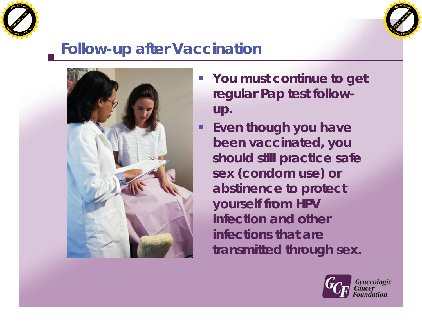



#### **Follow-up after Vaccination**



- **You must continue to get regular Pap test followup.**
	- **Even though you have been vaccinated, you should still practice safe sex (condom use) or abstinence to protect yourself from HPV infection and other infections that are transmitted through sex.**